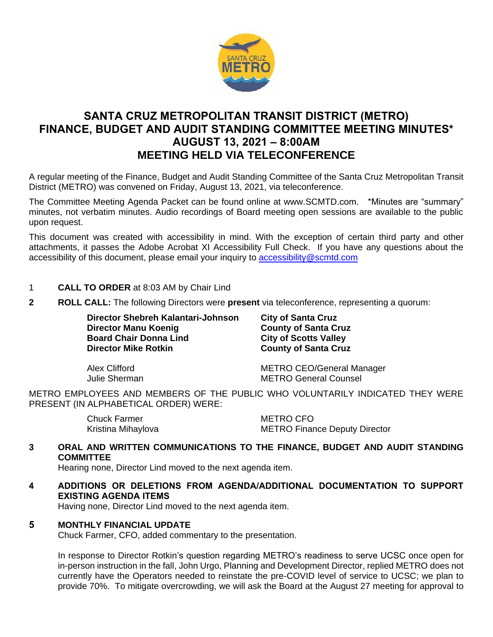

# **SANTA CRUZ METROPOLITAN TRANSIT DISTRICT (METRO) FINANCE, BUDGET AND AUDIT STANDING COMMITTEE MEETING MINUTES\* AUGUST 13, 2021 – 8:00AM MEETING HELD VIA TELECONFERENCE**

A regular meeting of the Finance, Budget and Audit Standing Committee of the Santa Cruz Metropolitan Transit District (METRO) was convened on Friday, August 13, 2021, via teleconference.

The Committee Meeting Agenda Packet can be found online at www.SCMTD.com. \*Minutes are "summary" minutes, not verbatim minutes. Audio recordings of Board meeting open sessions are available to the public upon request.

This document was created with accessibility in mind. With the exception of certain third party and other attachments, it passes the Adobe Acrobat XI Accessibility Full Check. If you have any questions about the accessibility of this document, please email your inquiry to [accessibility@scmtd.com](mailto:accessibility@scmtd.com)

- 1 **CALL TO ORDER** at 8:03 AM by Chair Lind
- **2 ROLL CALL:** The following Directors were **present** via teleconference, representing a quorum:

**Director Shebreh Kalantari-Johnson City of Santa Cruz Director Manu Koenig <b>County of Santa Cruz Board Chair Donna Lind City of Scotts Valley<br>
Director Mike Rotkin County of Santa Cruz** 

**County of Santa Cruz** 

Alex Clifford METRO CEO/General Manager Julie Sherman METRO General Counsel

METRO EMPLOYEES AND MEMBERS OF THE PUBLIC WHO VOLUNTARILY INDICATED THEY WERE PRESENT (IN ALPHABETICAL ORDER) WERE:

> Chuck Farmer METRO CFO Kristina Mihaylova **METRO Finance Deputy Director**

# **3 ORAL AND WRITTEN COMMUNICATIONS TO THE FINANCE, BUDGET AND AUDIT STANDING COMMITTEE**

Hearing none, Director Lind moved to the next agenda item.

**4 ADDITIONS OR DELETIONS FROM AGENDA/ADDITIONAL DOCUMENTATION TO SUPPORT EXISTING AGENDA ITEMS** 

Having none, Director Lind moved to the next agenda item.

# **5 MONTHLY FINANCIAL UPDATE**

Chuck Farmer, CFO, added commentary to the presentation.

In response to Director Rotkin's question regarding METRO's readiness to serve UCSC once open for in-person instruction in the fall, John Urgo, Planning and Development Director, replied METRO does not currently have the Operators needed to reinstate the pre-COVID level of service to UCSC; we plan to provide 70%. To mitigate overcrowding, we will ask the Board at the August 27 meeting for approval to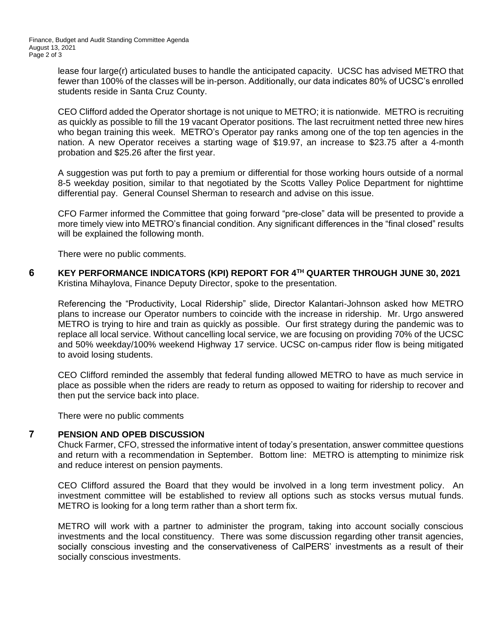lease four large(r) articulated buses to handle the anticipated capacity. UCSC has advised METRO that fewer than 100% of the classes will be in-person. Additionally, our data indicates 80% of UCSC's enrolled students reside in Santa Cruz County.

CEO Clifford added the Operator shortage is not unique to METRO; it is nationwide. METRO is recruiting as quickly as possible to fill the 19 vacant Operator positions. The last recruitment netted three new hires who began training this week. METRO's Operator pay ranks among one of the top ten agencies in the nation. A new Operator receives a starting wage of \$19.97, an increase to \$23.75 after a 4-month probation and \$25.26 after the first year.

A suggestion was put forth to pay a premium or differential for those working hours outside of a normal 8-5 weekday position, similar to that negotiated by the Scotts Valley Police Department for nighttime differential pay. General Counsel Sherman to research and advise on this issue.

CFO Farmer informed the Committee that going forward "pre-close" data will be presented to provide a more timely view into METRO's financial condition. Any significant differences in the "final closed" results will be explained the following month.

There were no public comments.

**6 KEY PERFORMANCE INDICATORS (KPI) REPORT FOR 4TH QUARTER THROUGH JUNE 30, 2021**  Kristina Mihaylova, Finance Deputy Director, spoke to the presentation.

Referencing the "Productivity, Local Ridership" slide, Director Kalantari-Johnson asked how METRO plans to increase our Operator numbers to coincide with the increase in ridership. Mr. Urgo answered METRO is trying to hire and train as quickly as possible. Our first strategy during the pandemic was to replace all local service. Without cancelling local service, we are focusing on providing 70% of the UCSC and 50% weekday/100% weekend Highway 17 service. UCSC on-campus rider flow is being mitigated to avoid losing students.

CEO Clifford reminded the assembly that federal funding allowed METRO to have as much service in place as possible when the riders are ready to return as opposed to waiting for ridership to recover and then put the service back into place.

There were no public comments

# **7 PENSION AND OPEB DISCUSSION**

Chuck Farmer, CFO, stressed the informative intent of today's presentation, answer committee questions and return with a recommendation in September. Bottom line: METRO is attempting to minimize risk and reduce interest on pension payments.

CEO Clifford assured the Board that they would be involved in a long term investment policy. An investment committee will be established to review all options such as stocks versus mutual funds. METRO is looking for a long term rather than a short term fix.

METRO will work with a partner to administer the program, taking into account socially conscious investments and the local constituency. There was some discussion regarding other transit agencies, socially conscious investing and the conservativeness of CalPERS' investments as a result of their socially conscious investments.